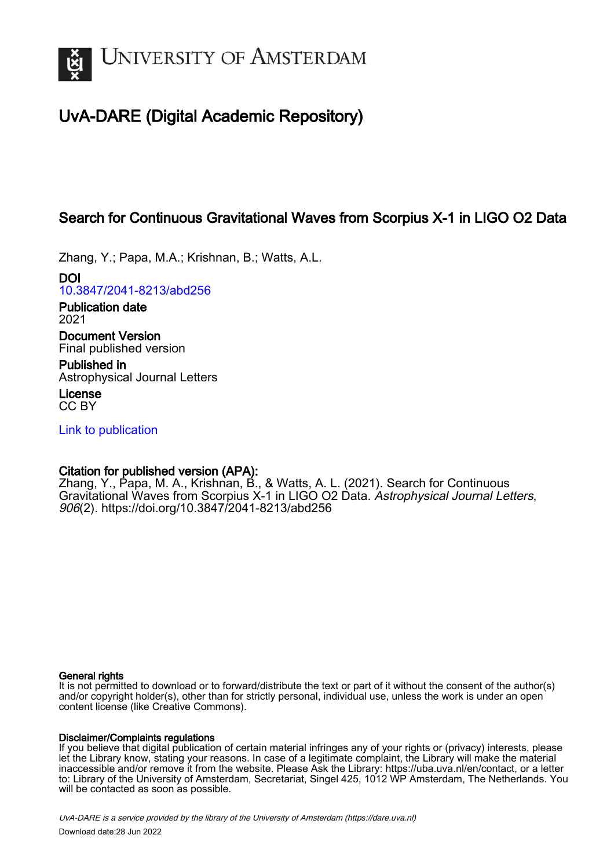

# UvA-DARE (Digital Academic Repository)

## Search for Continuous Gravitational Waves from Scorpius X-1 in LIGO O2 Data

Zhang, Y.; Papa, M.A.; Krishnan, B.; Watts, A.L.

DOI [10.3847/2041-8213/abd256](https://doi.org/10.3847/2041-8213/abd256)

Publication date 2021 Document Version

Final published version

Published in Astrophysical Journal Letters

License CC BY

[Link to publication](https://dare.uva.nl/personal/pure/en/publications/search-for-continuous-gravitational-waves-from-scorpius-x1-in-ligo-o2-data(22ad1e87-a863-47b0-b70e-288cd210fd08).html)

## Citation for published version (APA):

Zhang, Y., Papa, M. A., Krishnan, B., & Watts, A. L. (2021). Search for Continuous Gravitational Waves from Scorpius X-1 in LIGO O2 Data. Astrophysical Journal Letters, 906(2).<https://doi.org/10.3847/2041-8213/abd256>

### General rights

It is not permitted to download or to forward/distribute the text or part of it without the consent of the author(s) and/or copyright holder(s), other than for strictly personal, individual use, unless the work is under an open content license (like Creative Commons).

## Disclaimer/Complaints regulations

If you believe that digital publication of certain material infringes any of your rights or (privacy) interests, please let the Library know, stating your reasons. In case of a legitimate complaint, the Library will make the material inaccessible and/or remove it from the website. Please Ask the Library: https://uba.uva.nl/en/contact, or a letter to: Library of the University of Amsterdam, Secretariat, Singel 425, 1012 WP Amsterdam, The Netherlands. You will be contacted as soon as possible.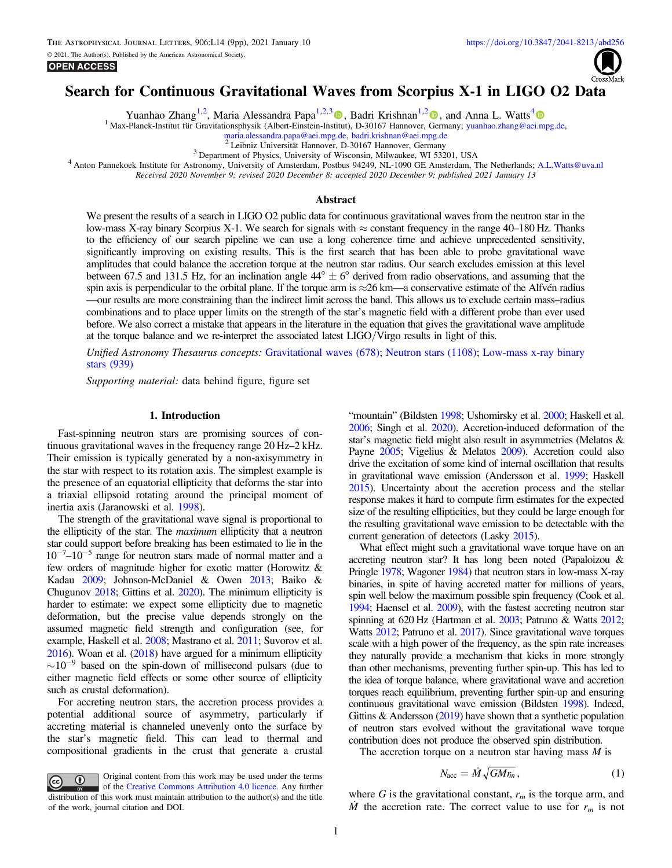

## <span id="page-1-0"></span>Search for Continuous Gravitational Waves from Scorpius X-1 in LIGO O2 Data

Yuanhao Zhang<sup>1,2</sup>, Maria Alessandra Papa<sup>1,2,[3](https://orcid.org/0000-0002-1007-5298)</sup> , Badri Krishnan<sup>1,[2](https://orcid.org/0000-0003-3015-234X)</sup> , and Anna L. Watts<sup>[4](https://orcid.org/0000-0002-1009-2354)</sup>

<sup>1</sup> Max-Planck-Institut für Gravitationsphysik (Albert-Einstein-Institut), D-30167 Hannover, Germany; [yuanhao.zhang@aei.mpg.de,](mailto:yuanhao.zhang@aei.mpg.de) maria.alessandra.papa@aei.mpg.de, badri.krishnan@aei.mpg.de

<sup>2</sup> Leibniz Universität Hannover, D-30167 Hannover, Germany<br><sup>3</sup> Department of Physics, University of Wisconsin, Milwaukee, WI 53201, USA<br><sup>4</sup> Anton Pannekoek Institute for Astronomy, University of Amsterdam, Postbus 94249,

Received 2020 November 9; revised 2020 December 8; accepted 2020 December 9; published 2021 January 13

#### Abstract

We present the results of a search in LIGO O2 public data for continuous gravitational waves from the neutron star in the low-mass X-ray binary Scorpius X-1. We search for signals with  $\approx$  constant frequency in the range 40–180 Hz. Thanks to the efficiency of our search pipeline we can use a long coherence time and achieve unprecedented sensitivity, significantly improving on existing results. This is the first search that has been able to probe gravitational wave amplitudes that could balance the accretion torque at the neutron star radius. Our search excludes emission at this level between 67.5 and 131.5 Hz, for an inclination angle  $44^{\circ} \pm 6^{\circ}$  derived from radio observations, and assuming that the spin axis is perpendicular to the orbital plane. If the torque arm is  $\approx$ 26 km—a conservative estimate of the Alfvén radius —our results are more constraining than the indirect limit across the band. This allows us to exclude certain mass–radius combinations and to place upper limits on the strength of the star's magnetic field with a different probe than ever used before. We also correct a mistake that appears in the literature in the equation that gives the gravitational wave amplitude at the torque balance and we re-interpret the associated latest LIGO/Virgo results in light of this.

Unified Astronomy Thesaurus concepts: [Gravitational waves](http://astrothesaurus.org/uat/678) (678); [Neutron stars](http://astrothesaurus.org/uat/1108) (1108); [Low-mass x-ray binary](http://astrothesaurus.org/uat/939) [stars](http://astrothesaurus.org/uat/939) (939)

Supporting material: data behind figure, figure set

#### 1. Introduction

Fast-spinning neutron stars are promising sources of continuous gravitational waves in the frequency range 20 Hz–2 kHz. Their emission is typically generated by a non-axisymmetry in the star with respect to its rotation axis. The simplest example is the presence of an equatorial ellipticity that deforms the star into a triaxial ellipsoid rotating around the principal moment of inertia axis (Jaranowski et al. [1998](#page-8-0)).

The strength of the gravitational wave signal is proportional to the ellipticity of the star. The maximum ellipticity that a neutron star could support before breaking has been estimated to lie in the  $10^{-7}$ – $10^{-5}$  range for neutron stars made of normal matter and a few orders of magnitude higher for exotic matter (Horowitz & Kadau [2009](#page-8-0); Johnson-McDaniel & Owen [2013;](#page-8-0) Baiko & Chugunov [2018](#page-8-0); Gittins et al. [2020](#page-8-0)). The minimum ellipticity is harder to estimate: we expect some ellipticity due to magnetic deformation, but the precise value depends strongly on the assumed magnetic field strength and configuration (see, for example, Haskell et al. [2008;](#page-8-0) Mastrano et al. [2011](#page-8-0); Suvorov et al. [2016](#page-9-0)). Woan et al. ([2018](#page-9-0)) have argued for a minimum ellipticity  $\sim$  10<sup>-9</sup> based on the spin-down of millisecond pulsars (due to either magnetic field effects or some other source of ellipticity such as crustal deformation).

For accreting neutron stars, the accretion process provides a potential additional source of asymmetry, particularly if accreting material is channeled unevenly onto the surface by the star's magnetic field. This can lead to thermal and compositional gradients in the crust that generate a crustal

Original content from this work may be used under the terms  $\left(\mathrm{cc}\right)$ of the [Creative Commons Attribution 4.0 licence.](http://creativecommons.org/licenses/by/4.0/) Any further distribution of this work must maintain attribution to the author(s) and the title of the work, journal citation and DOI.

"mountain" (Bildsten [1998](#page-8-0); Ushomirsky et al. [2000](#page-9-0); Haskell et al. [2006;](#page-8-0) Singh et al. [2020](#page-9-0)). Accretion-induced deformation of the star's magnetic field might also result in asymmetries (Melatos & Payne [2005](#page-8-0); Vigelius & Melatos [2009](#page-9-0)). Accretion could also drive the excitation of some kind of internal oscillation that results in gravitational wave emission (Andersson et al. [1999](#page-8-0); Haskell [2015](#page-8-0)). Uncertainty about the accretion process and the stellar response makes it hard to compute firm estimates for the expected size of the resulting ellipticities, but they could be large enough for the resulting gravitational wave emission to be detectable with the current generation of detectors (Lasky [2015](#page-8-0)).

What effect might such a gravitational wave torque have on an accreting neutron star? It has long been noted (Papaloizou & Pringle [1978;](#page-9-0) Wagoner [1984](#page-9-0)) that neutron stars in low-mass X-ray binaries, in spite of having accreted matter for millions of years, spin well below the maximum possible spin frequency (Cook et al. [1994;](#page-8-0) Haensel et al. [2009](#page-8-0)), with the fastest accreting neutron star spinning at 620 Hz (Hartman et al. [2003;](#page-8-0) Patruno & Watts [2012](#page-9-0); Watts [2012](#page-9-0); Patruno et al. [2017](#page-9-0)). Since gravitational wave torques scale with a high power of the frequency, as the spin rate increases they naturally provide a mechanism that kicks in more strongly than other mechanisms, preventing further spin-up. This has led to the idea of torque balance, where gravitational wave and accretion torques reach equilibrium, preventing further spin-up and ensuring continuous gravitational wave emission (Bildsten [1998](#page-8-0)). Indeed, Gittins  $&$  Andersson ([2019](#page-8-0)) have shown that a synthetic population of neutron stars evolved without the gravitational wave torque contribution does not produce the observed spin distribution.

The accretion torque on a neutron star having mass  $M$  is

$$
N_{\rm acc} = \dot{M} \sqrt{GM r_m} \,, \tag{1}
$$

where G is the gravitational constant,  $r_m$  is the torque arm, and  $\dot{M}$  the accretion rate. The correct value to use for  $r_m$  is not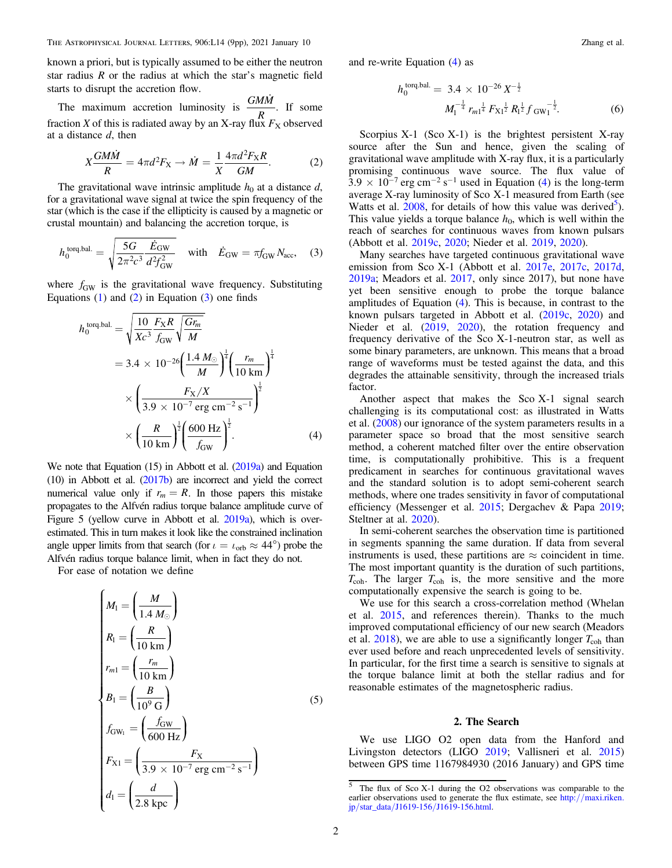<span id="page-2-0"></span>known a priori, but is typically assumed to be either the neutron star radius  *or the radius at which the star's magnetic field* starts to disrupt the accretion flow.

The maximum accretion luminosity is  $\frac{GM\dot{M}}{R_{R}}$ ż . If some fraction X of this is radiated away by an X-ray flux  $F_X$  observed at a distance  $d$ , then

$$
X\frac{GM\dot{M}}{R} = 4\pi d^2 F_X \to \dot{M} = \frac{1}{X} \frac{4\pi d^2 F_X R}{GM}.
$$
 (2)

The gravitational wave intrinsic amplitude  $h_0$  at a distance d, for a gravitational wave signal at twice the spin frequency of the star (which is the case if the ellipticity is caused by a magnetic or crustal mountain) and balancing the accretion torque, is

$$
h_0^{\text{torq.bal.}} = \sqrt{\frac{5G}{2\pi^2 c^3} \frac{\dot{E}_{\text{GW}}}{d^2 f_{\text{GW}}^2}} \quad \text{with} \quad \dot{E}_{\text{GW}} = \pi f_{\text{GW}} N_{\text{acc}}, \quad (3)
$$

where  $f_{GW}$  is the gravitational wave frequency. Substituting Equations  $(1)$  $(1)$  $(1)$  and  $(2)$  in Equation  $(3)$  one finds

$$
h_0^{\text{torq,bal.}} = \sqrt{\frac{10 \ F_X R}{Xc^3} \frac{F_X R}{f_{\text{GW}}}} \sqrt{\frac{Gr_m}{M}}
$$
  
= 3.4 × 10<sup>-26</sup>  $\left(\frac{1.4 M_{\odot}}{M}\right)^{\frac{1}{4}} \left(\frac{r_m}{10 \text{ km}}\right)^{\frac{1}{4}}$   
×  $\left(\frac{F_X/X}{3.9 \times 10^{-7} \text{ erg cm}^{-2} \text{ s}^{-1}}\right)^{\frac{1}{2}}$   
×  $\left(\frac{R}{10 \text{ km}}\right)^{\frac{1}{2}} \left(\frac{600 \text{ Hz}}{f_{\text{GW}}}\right)^{\frac{1}{2}}$ . (4)

We note that Equation (15) in Abbott et al. ([2019a](#page-8-0)) and Equation (10) in Abbott et al. ([2017b](#page-8-0)) are incorrect and yield the correct numerical value only if  $r_m = R$ . In those papers this mistake propagates to the Alfvén radius torque balance amplitude curve of Figure 5 (yellow curve in Abbott et al. [2019a](#page-8-0)), which is overestimated. This in turn makes it look like the constrained inclination angle upper limits from that search (for  $\iota = \iota_{\text{orb}} \approx 44^{\circ}$ ) probe the Alfvén radius torque balance limit, when in fact they do not.

For ease of notation we define

$$
\begin{cases}\nM_1 = \left(\frac{M}{1.4 M_{\odot}}\right) \\
R_1 = \left(\frac{R}{10 \text{ km}}\right) \\
r_{m1} = \left(\frac{r_m}{10 \text{ km}}\right) \\
B_1 = \left(\frac{B}{10^9 \text{ G}}\right) \\
f_{\text{GW}_1} = \left(\frac{f_{\text{GW}}}{600 \text{ Hz}}\right) \\
F_{\text{X1}} = \left(\frac{F_{\text{X}}}{3.9 \times 10^{-7} \text{ erg cm}^{-2} \text{ s}^{-1}}\right) \\
d_1 = \left(\frac{d}{2.8 \text{ kpc}}\right)\n\end{cases} \tag{5}
$$

and re-write Equation (4) as

$$
h_0^{\text{torq.bal.}} = 3.4 \times 10^{-26} X^{-\frac{1}{2}}
$$

$$
M_1^{-\frac{1}{4}} r_{m1}^{\frac{1}{4}} F_{X1}^{\frac{1}{2}} R_1^{\frac{1}{2}} f_{\text{GW}}^{-\frac{1}{2}}.
$$
 (6)

Scorpius  $X-1$  (Sco  $X-1$ ) is the brightest persistent X-ray source after the Sun and hence, given the scaling of gravitational wave amplitude with X-ray flux, it is a particularly promising continuous wave source. The flux value of  $3.9 \times 10^{-7}$  erg cm<sup>-2</sup> s<sup>-1</sup> used in Equation (4) is the long-term average X-ray luminosity of Sco X-1 measured from Earth (see Watts et al.  $2008$ , for details of how this value was derived<sup>5</sup>). This value yields a torque balance  $h_0$ , which is well within the reach of searches for continuous waves from known pulsars (Abbott et al. [2019c](#page-8-0), [2020](#page-8-0); Nieder et al. [2019,](#page-9-0) [2020](#page-9-0)).

Many searches have targeted continuous gravitational wave emission from Sco X-1 (Abbott et al. [2017e](#page-8-0), [2017c,](#page-8-0) [2017d](#page-8-0), [2019a](#page-8-0); Meadors et al. [2017,](#page-8-0) only since 2017), but none have yet been sensitive enough to probe the torque balance amplitudes of Equation (4). This is because, in contrast to the known pulsars targeted in Abbott et al. ([2019c,](#page-8-0) [2020](#page-8-0)) and Nieder et al. ([2019,](#page-9-0) [2020](#page-9-0)), the rotation frequency and frequency derivative of the Sco X-1-neutron star, as well as some binary parameters, are unknown. This means that a broad range of waveforms must be tested against the data, and this degrades the attainable sensitivity, through the increased trials factor.

Another aspect that makes the Sco X-1 signal search challenging is its computational cost: as illustrated in Watts et al. ([2008](#page-9-0)) our ignorance of the system parameters results in a parameter space so broad that the most sensitive search method, a coherent matched filter over the entire observation time, is computationally prohibitive. This is a frequent predicament in searches for continuous gravitational waves and the standard solution is to adopt semi-coherent search methods, where one trades sensitivity in favor of computational efficiency (Messenger et al. [2015;](#page-8-0) Dergachev & Papa [2019](#page-8-0); Steltner at al. [2020](#page-9-0)).

In semi-coherent searches the observation time is partitioned in segments spanning the same duration. If data from several instruments is used, these partitions are  $\approx$  coincident in time. The most important quantity is the duration of such partitions,  $T_{\text{coh}}$ . The larger  $T_{\text{coh}}$  is, the more sensitive and the more computationally expensive the search is going to be.

We use for this search a cross-correlation method (Whelan et al. [2015](#page-9-0), and references therein). Thanks to the much improved computational efficiency of our new search (Meadors et al.  $2018$ ), we are able to use a significantly longer  $T_{\rm coh}$  than ever used before and reach unprecedented levels of sensitivity. In particular, for the first time a search is sensitive to signals at the torque balance limit at both the stellar radius and for reasonable estimates of the magnetospheric radius.

#### 2. The Search

We use LIGO O2 open data from the Hanford and Livingston detectors (LIGO [2019](#page-8-0); Vallisneri et al. [2015](#page-9-0)) between GPS time 1167984930 (2016 January) and GPS time

<sup>5</sup> The flux of Sco X-1 during the O2 observations was comparable to the earlier observations used to generate the flux estimate, see http://[maxi.riken.](http://maxi.riken.jp/star_data/J1619-156/J1619-156.html) jp/star\_data/J1619-156/[J1619-156.html.](http://maxi.riken.jp/star_data/J1619-156/J1619-156.html)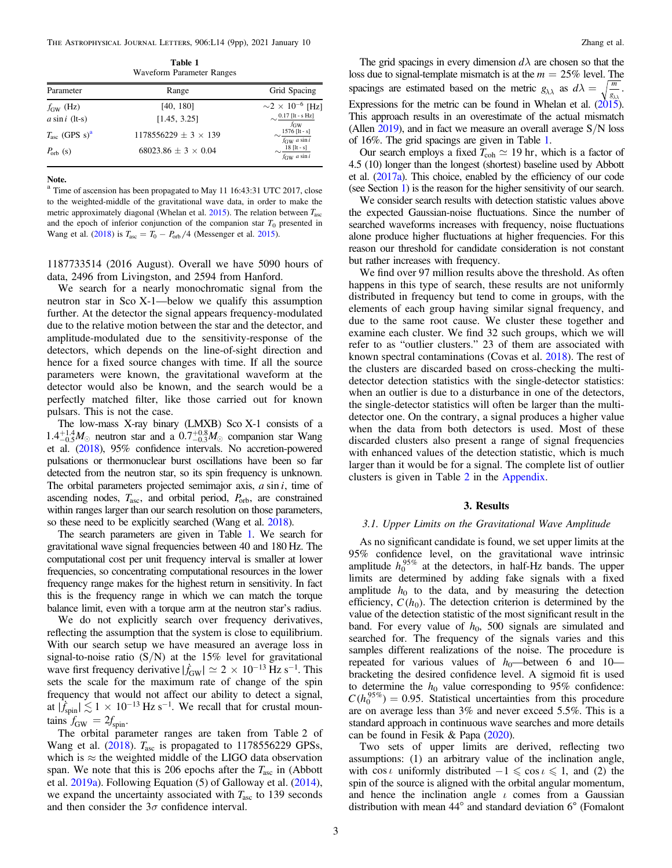The Astrophysical Journal Letters, 906:L14 (9pp), 2021 January 10 Zhang et al.

Table 1 Waveform Parameter Ranges

| Parameter                          | Range                       | Grid Spacing                                                                  |
|------------------------------------|-----------------------------|-------------------------------------------------------------------------------|
| $f_{GW}$ (Hz)                      | [40, 180]                   | $\sim$ 2 × 10 <sup>-6</sup> [Hz]                                              |
| $a \sin i$ (lt-s)                  | [1.45, 3.25]                | $[0.17$ [It - s Hz]<br>$f_{\rm GW}$                                           |
| $T_{\rm asc}$ (GPS s) <sup>a</sup> | $1178556229 + 3 \times 139$ | $\sim$ 1576 [lt - s]<br>$f_{\text{GW}}$ a sin i                               |
| $P_{\rm orb}$ (s)                  | $68023.86 + 3 \times 0.04$  | $\frac{18 \left[ \text{lt} - \text{s} \right]}{2}$<br>$f_{\text{GW}}$ a sin i |

Note.

<sup>a</sup> Time of ascension has been propagated to May 11 16:43:31 UTC 2017, close to the weighted-middle of the gravitational wave data, in order to make the metric approximately diagonal (Whelan et al. [2015](#page-9-0)). The relation between *T*asc and the epoch of inferior conjunction of the companion star  $T_0$  presented in Wang et al. ([2018](#page-9-0)) is  $T_{\text{asc}} = T_0 - P_{\text{orb}}/4$  (Messenger et al. [2015](#page-8-0)).

1187733514 (2016 August). Overall we have 5090 hours of data, 2496 from Livingston, and 2594 from Hanford.

We search for a nearly monochromatic signal from the neutron star in Sco X-1—below we qualify this assumption further. At the detector the signal appears frequency-modulated due to the relative motion between the star and the detector, and amplitude-modulated due to the sensitivity-response of the detectors, which depends on the line-of-sight direction and hence for a fixed source changes with time. If all the source parameters were known, the gravitational waveform at the detector would also be known, and the search would be a perfectly matched filter, like those carried out for known pulsars. This is not the case.

The low-mass X-ray binary (LMXB) Sco X-1 consists of a  $1.4^{+1.4}_{-0.5}$ *M*<sub> $\odot$ </sub> neutron star and a  $0.7^{+0.8}_{-0.3}$ *M*<sub> $\odot$ </sub> companion star Wang et al. ([2018](#page-9-0)), 95% confidence intervals. No accretion-powered pulsations or thermonuclear burst oscillations have been so far detected from the neutron star, so its spin frequency is unknown. The orbital parameters projected semimajor axis, *a* sin *i*, time of ascending nodes, *T*asc, and orbital period, *P*orb, are constrained within ranges larger than our search resolution on those parameters, so these need to be explicitly searched (Wang et al. [2018](#page-9-0)).

The search parameters are given in Table 1. We search for gravitational wave signal frequencies between 40 and 180 Hz. The computational cost per unit frequency interval is smaller at lower frequencies, so concentrating computational resources in the lower frequency range makes for the highest return in sensitivity. In fact this is the frequency range in which we can match the torque balance limit, even with a torque arm at the neutron star's radius.

We do not explicitly search over frequency derivatives, reflecting the assumption that the system is close to equilibrium. With our search setup we have measured an average loss in signal-to-noise ratio  $(S/N)$  at the 15% level for gravitational wave first frequency derivative  $|\dot{f}_{\text{GW}}| \simeq 2 \times 10^{-13} \,\text{Hz s}^{-1}$ . This sets the scale for the maximum rate of change of the spin frequency that would not affect our ability to detect a signal, at  $|\dot{f}_{\text{spin}}| \lesssim 1 \times 10^{-13} \text{ Hz s}^{-1}$ . We recall that for crustal mountains  $f_{\text{GW}} = 2f_{\text{spin}}$ .

The orbital parameter ranges are taken from Table 2 of Wang et al. ([2018](#page-9-0)). *T*<sub>asc</sub> is propagated to 1178556229 GPSs, which is  $\approx$  the weighted middle of the LIGO data observation span. We note that this is 206 epochs after the *T*asc in (Abbott et al. [2019a](#page-8-0)). Following Equation (5) of Galloway et al. ([2014](#page-8-0)), we expand the uncertainty associated with  $T_{\text{asc}}$  to 139 seconds and then consider the  $3\sigma$  confidence interval.

The grid spacings in every dimension  $d\lambda$  are chosen so that the loss due to signal-template mismatch is at the *m* = 25% level. The spacings are estimated based on the metric  $g_{\lambda\lambda}$  as  $d\lambda = \sqrt{\frac{m}{g_{\lambda\lambda}}}$ . Expressions for the metric can be found in Whelan et al.  $(2015)$  $(2015)$  $(2015)$ . This approach results in an overestimate of the actual mismatch (Allen  $2019$ ), and in fact we measure an overall average  $S/N$  loss of 16%. The grid spacings are given in Table 1.

Our search employs a fixed  $T_{coh} \simeq 19$  hr, which is a factor of 4.5 (10) longer than the longest (shortest) baseline used by Abbott et al. ([2017a](#page-8-0)). This choice, enabled by the efficiency of our code (see Section [1](#page-1-0)) is the reason for the higher sensitivity of our search.

We consider search results with detection statistic values above the expected Gaussian-noise fluctuations. Since the number of searched waveforms increases with frequency, noise fluctuations alone produce higher fluctuations at higher frequencies. For this reason our threshold for candidate consideration is not constant but rather increases with frequency.

We find over 97 million results above the threshold. As often happens in this type of search, these results are not uniformly distributed in frequency but tend to come in groups, with the elements of each group having similar signal frequency, and due to the same root cause. We cluster these together and examine each cluster. We find 32 such groups, which we will refer to as "outlier clusters." 23 of them are associated with known spectral contaminations (Covas et al. [2018](#page-8-0)). The rest of the clusters are discarded based on cross-checking the multidetector detection statistics with the single-detector statistics: when an outlier is due to a disturbance in one of the detectors, the single-detector statistics will often be larger than the multidetector one. On the contrary, a signal produces a higher value when the data from both detectors is used. Most of these discarded clusters also present a range of signal frequencies with enhanced values of the detection statistic, which is much larger than it would be for a signal. The complete list of outlier clusters is given in Table [2](#page-8-0) in the [Appendix.](#page-7-0)

#### 3. Results

#### 3.1. Upper Limits on the Gravitational Wave Amplitude

As no significant candidate is found, we set upper limits at the 95% confidence level, on the gravitational wave intrinsic amplitude  $h_0^{95\%}$  at the detectors, in half-Hz bands. The upper limits are determined by adding fake signals with a fixed amplitude  $h_0$  to the data, and by measuring the detection efficiency,  $C(h_0)$ . The detection criterion is determined by the value of the detection statistic of the most significant result in the band. For every value of  $h_0$ , 500 signals are simulated and searched for. The frequency of the signals varies and this samples different realizations of the noise. The procedure is repeated for various values of  $h_0$ —between 6 and 10 bracketing the desired confidence level. A sigmoid fit is used to determine the  $h_0$  value corresponding to 95% confidence:  $C(h_0^{95\%}) = 0.95$ . Statistical uncertainties from this procedure are on average less than 3% and never exceed 5.5%. This is a standard approach in continuous wave searches and more details can be found in Fesik & Papa ([2020](#page-8-0)).

Two sets of upper limits are derived, reflecting two assumptions: (1) an arbitrary value of the inclination angle, with cos *i* uniformly distributed  $-1 \le \cos i \le 1$ , and (2) the spin of the source is aligned with the orbital angular momentum, and hence the inclination angle  $\iota$  comes from a Gaussian distribution with mean 44° and standard deviation 6◦ (Fomalont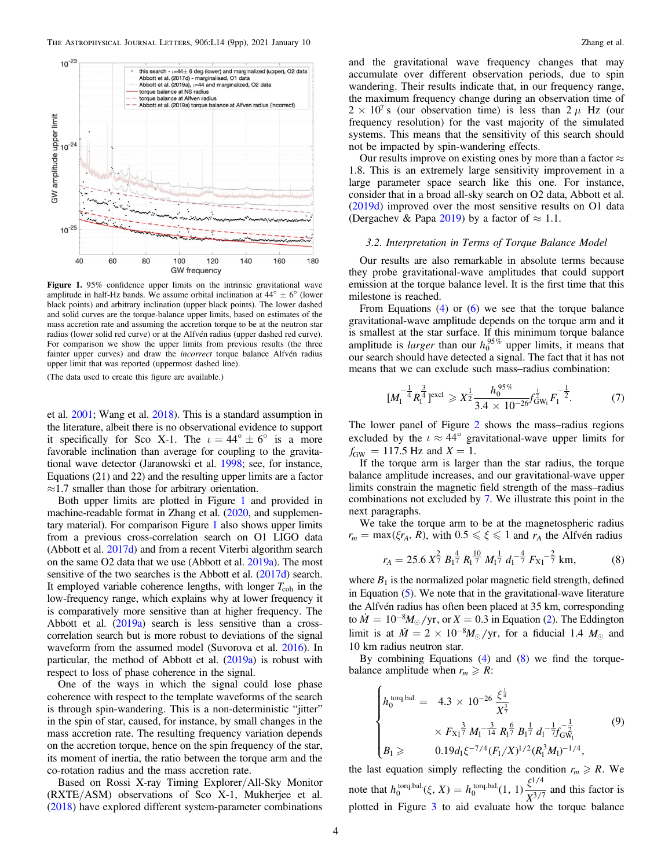<span id="page-4-0"></span>

Figure 1. 95% confidence upper limits on the intrinsic gravitational wave amplitude in half-Hz bands. We assume orbital inclination at  $44^{\circ} \pm 6^{\circ}$  (lower black points) and arbitrary inclination (upper black points). The lower dashed and solid curves are the torque-balance upper limits, based on estimates of the mass accretion rate and assuming the accretion torque to be at the neutron star radius (lower solid red curve) or at the Alfvén radius (upper dashed red curve). For comparison we show the upper limits from previous results (the three fainter upper curves) and draw the *incorrect* torque balance Alfvén radius upper limit that was reported (uppermost dashed line).

(The data used to create this figure are available.)

et al. [2001;](#page-8-0) Wang et al. [2018](#page-9-0)). This is a standard assumption in the literature, albeit there is no observational evidence to support it specifically for Sco X-1. The  $\iota = 44^{\circ} \pm 6^{\circ}$  is a more favorable inclination than average for coupling to the gravitational wave detector (Jaranowski et al. [1998;](#page-8-0) see, for instance, Equations (21) and 22) and the resulting upper limits are a factor  $\approx$ 1.7 smaller than those for arbitrary orientation.

Both upper limits are plotted in Figure 1 and provided in machine-readable format in Zhang et al. ([2020](#page-9-0), and supplementary material). For comparison Figure 1 also shows upper limits from a previous cross-correlation search on O1 LIGO data (Abbott et al. [2017d](#page-8-0)) and from a recent Viterbi algorithm search on the same O2 data that we use (Abbott et al. [2019a](#page-8-0)). The most sensitive of the two searches is the Abbott et al. ([2017d](#page-8-0)) search. It employed variable coherence lengths, with longer  $T_{\text{coh}}$  in the low-frequency range, which explains why at lower frequency it is comparatively more sensitive than at higher frequency. The Abbott et al. ([2019a](#page-8-0)) search is less sensitive than a crosscorrelation search but is more robust to deviations of the signal waveform from the assumed model (Suvorova et al. [2016](#page-9-0)). In particular, the method of Abbott et al. ([2019a](#page-8-0)) is robust with respect to loss of phase coherence in the signal.

One of the ways in which the signal could lose phase coherence with respect to the template waveforms of the search is through spin-wandering. This is a non-deterministic "jitter" in the spin of star, caused, for instance, by small changes in the mass accretion rate. The resulting frequency variation depends on the accretion torque, hence on the spin frequency of the star, its moment of inertia, the ratio between the torque arm and the co-rotation radius and the mass accretion rate.

Based on Rossi X-ray Timing Explorer/All-Sky Monitor (RXTE/ASM) observations of Sco X-1, Mukherjee et al. ([2018](#page-9-0)) have explored different system-parameter combinations

and the gravitational wave frequency changes that may accumulate over different observation periods, due to spin wandering. Their results indicate that, in our frequency range, the maximum frequency change during an observation time of  $2 \times 10^{7}$  s (our observation time) is less than  $2 \mu$  Hz (our frequency resolution) for the vast majority of the simulated systems. This means that the sensitivity of this search should not be impacted by spin-wandering effects.

Our results improve on existing ones by more than a factor  $\approx$ 1.8. This is an extremely large sensitivity improvement in a large parameter space search like this one. For instance, consider that in a broad all-sky search on O2 data, Abbott et al. ([2019d](#page-8-0)) improved over the most sensitive results on O1 data (Dergachev & Papa [2019](#page-8-0)) by a factor of  $\approx 1.1$ .

#### 3.2. Interpretation in Terms of Torque Balance Model

Our results are also remarkable in absolute terms because they probe gravitational-wave amplitudes that could support emission at the torque balance level. It is the first time that this milestone is reached.

From Equations  $(4)$  $(4)$  $(4)$  or  $(6)$  $(6)$  $(6)$  we see that the torque balance gravitational-wave amplitude depends on the torque arm and it is smallest at the star surface. If this minimum torque balance amplitude is *larger* than our  $h_0^{95\%}$  upper limits, it means that our search should have detected a signal. The fact that it has not means that we can exclude such mass–radius combination:

$$
[M_1^{-\frac{1}{4}} R_1^{\frac{3}{4}}] \text{excl} \ge X^{\frac{1}{2}} \frac{h_0^{95\%}}{3.4 \times 10^{-26}} f_{\text{GW}_1}^{\frac{1}{2}} F_1^{-\frac{1}{2}}. \tag{7}
$$

The lower panel of Figure [2](#page-5-0) shows the mass–radius regions excluded by the  $\iota \approx 44^{\circ}$  gravitational-wave upper limits for  $f_{\text{GW}} = 117.5 \text{ Hz}$  and  $X = 1$ .

If the torque arm is larger than the star radius, the torque balance amplitude increases, and our gravitational-wave upper limits constrain the magnetic field strength of the mass–radius combinations not excluded by 7. We illustrate this point in the next paragraphs.

We take the torque arm to be at the magnetospheric radius  $r_m = \max(\xi r_A, R)$ , with  $0.5 \le \xi \le 1$  and  $r_A$  the Alfvén radius

$$
r_A = 25.6 \, X^{\frac{2}{7}} \, B_1^{\frac{4}{7}} \, R_1^{\frac{10}{7}} \, M_1^{\frac{1}{7}} \, d_1^{-\frac{4}{7}} \, F_{X1}^{-\frac{2}{7}} \, \text{km}, \tag{8}
$$

where  $B_1$  is the normalized polar magnetic field strength, defined in Equation ([5](#page-2-0)). We note that in the gravitational-wave literature the Alfvén radius has often been placed at 35 km, corresponding to  $\dot{M} = 10^{-8} M_{\odot} / \text{yr}$ , or  $X = 0.3$  in Equation ([2](#page-2-0)). The Eddington limit is at  $\dot{M} = 2 \times 10^{-8} M_{\odot} / \text{yr}$ , for a fiducial 1.4  $M_{\odot}$  and 10 km radius neutron star.

By combining Equations ([4](#page-2-0)) and (8) we find the torquebalance amplitude when  $r_m \ge R$ :

$$
\begin{cases}\nh_0^{\text{torq.bal.}} = 4.3 \times 10^{-26} \frac{\xi^{\frac{1}{4}}}{X^{\frac{3}{7}}} \\
\times F_{X1}^{\frac{3}{7}} M_1^{-\frac{3}{14}} R_1^{\frac{6}{7}} B_1^{\frac{1}{7}} d_1^{-\frac{1}{7}} f_{\text{GW}_1}^{-\frac{1}{7}} \\
B_1 \geq 0.19 d_1 \xi^{-7/4} (F_1/X)^{1/2} (R_1^3 M_1)^{-1/4},\n\end{cases} (9)\n\end{cases}
$$

the last equation simply reflecting the condition  $r_m \ge R$ . We note that  $h_0^{\text{torq,bal}}(\xi, X) = h_0^{\text{torq,bal}}(1, 1) \frac{\xi^{1/4}}{X^{3/7}}$  and this factor is plotted in Figure [3](#page-6-0) to aid evaluate how the torque balance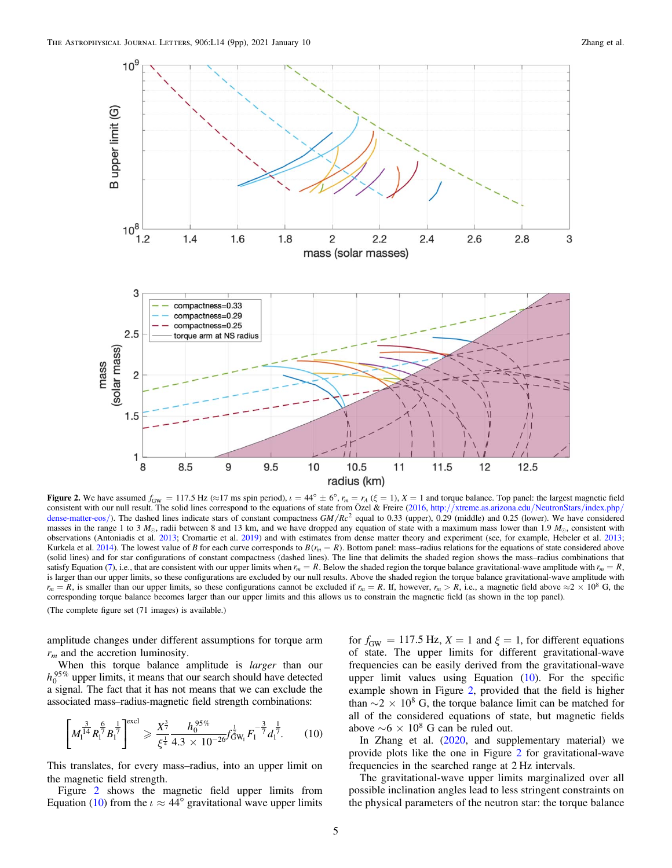<span id="page-5-0"></span>

Figure 2. We have assumed  $f_{GW} = 117.5$  Hz ( $\approx$ 17 ms spin period),  $\iota = 44^{\circ} \pm 6^{\circ}$ ,  $r_m = r_A$  ( $\xi = 1$ ),  $X = 1$  and torque balance. Top panel: the largest magnetic field consistent with our null result. The solid lines correspond to the equations of state from Özel & Freire ([2016](#page-9-0), http://[xtreme.as.arizona.edu](http://xtreme.as.arizona.edu/NeutronStars/index.php/dense-matter-eos/)/NeutronStars/index.php/ [dense-matter-eos](http://xtreme.as.arizona.edu/NeutronStars/index.php/dense-matter-eos/)/). The dashed lines indicate stars of constant compactness *GM/Rc<sup>2</sup>* equal to 0.33 (upper), 0.29 (middle) and 0.25 (lower). We have considered masses in the range 1 to 3  $M_{\odot}$ , radii between 8 and 13 km, and we have dropped any equation of state with a maximum mass lower than 1.9  $M_{\odot}$ , consistent with observations (Antoniadis et al. [2013](#page-8-0); Cromartie et al. [2019](#page-8-0)) and with estimates from dense matter theory and experiment (see, for example, Hebeler et al. [2013;](#page-8-0) Kurkela et al. [2014](#page-8-0)). The lowest value of B for each curve corresponds to  $B(r_m = R)$ . Bottom panel: mass–radius relations for the equations of state considered above (solid lines) and for star configurations of constant compactness (dashed lines). The line that delimits the shaded region shows the mass–radius combinations that satisfy Equation ([7](#page-4-0)), i.e., that are consistent with our upper limits when  $r_m = R$ . Below the shaded region the torque balance gravitational-wave amplitude with  $r_m = R$ , is larger than our upper limits, so these configurations are excluded by our null results. Above the shaded region the torque balance gravitational-wave amplitude with  $r_m = R$ , is smaller than our upper limits, so these configurations cannot be excluded if  $r_m = R$ . If, however,  $r_m > R$ , i.e., a magnetic field above  $\approx 2 \times 10^8$  G, the corresponding torque balance becomes larger than our upper limits and this allows us to constrain the magnetic field (as shown in the top panel). (The complete figure set (71 images) is available.)

amplitude changes under different assumptions for torque arm  $r<sub>m</sub>$  and the accretion luminosity.

When this torque balance amplitude is *larger* than our  $h_0^{95\%}$  upper limits, it means that our search should have detected a signal. The fact that it has not means that we can exclude the associated mass–radius-magnetic field strength combinations:

$$
\left[M_1^{\frac{3}{14}}R_1^{\frac{6}{7}}B_1^{\frac{1}{7}}\right]^{\text{excl}} \geqslant \frac{X_{\frac{3}{7}}^{\frac{3}{7}}}{\xi^{\frac{1}{4}}}\frac{h_0^{95\%}}{4.3 \times 10^{-26}}f_{\text{GW}_1}^{\frac{1}{2}}F_1^{-\frac{3}{7}}d_1^{\frac{1}{7}}.\tag{10}
$$

This translates, for every mass–radius, into an upper limit on the magnetic field strength.

Figure 2 shows the magnetic field upper limits from Equation (10) from the  $\iota \approx 44^{\circ}$  gravitational wave upper limits

for  $f_{GW} = 117.5$  Hz,  $X = 1$  and  $\xi = 1$ , for different equations of state. The upper limits for different gravitational-wave frequencies can be easily derived from the gravitational-wave upper limit values using Equation  $(10)$ . For the specific example shown in Figure 2, provided that the field is higher than  $\sim$  2  $\times$  10<sup>8</sup> G, the torque balance limit can be matched for all of the considered equations of state, but magnetic fields above  $\sim 6 \times 10^8$  G can be ruled out.

In Zhang et al. ([2020](#page-9-0), and supplementary material) we provide plots like the one in Figure 2 for gravitational-wave frequencies in the searched range at 2 Hz intervals.

The gravitational-wave upper limits marginalized over all possible inclination angles lead to less stringent constraints on the physical parameters of the neutron star: the torque balance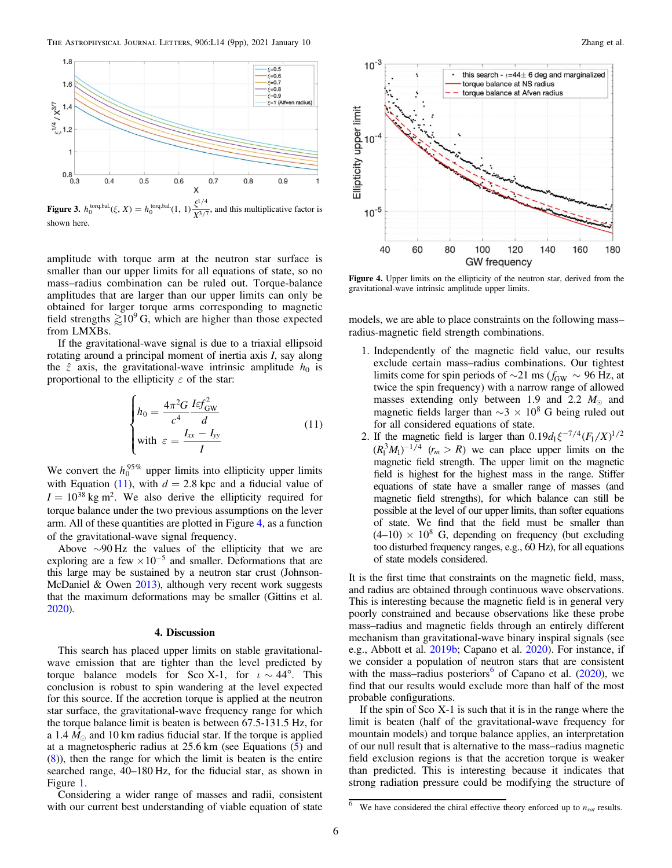<span id="page-6-0"></span>

**Figure 3.**  $h_0^{\text{torq,bal}}(\xi, X) = h_0^{\text{torq,bal}}(1, 1) \frac{\xi^{1/4}}{X^{3/7}}$ , and this multiplicative factor is Figure 3.  $h_0^{\text{torq.bal.}}(\xi, X)$ shown here.

amplitude with torque arm at the neutron star surface is smaller than our upper limits for all equations of state, so no mass–radius combination can be ruled out. Torque-balance amplitudes that are larger than our upper limits can only be obtained for larger torque arms corresponding to magnetic field strengths  $\gtrsim 10^9$  G, which are higher than those expected from LMXBs.

If the gravitational-wave signal is due to a triaxial ellipsoid rotating around a principal moment of inertia axis I, say along the  $\hat{z}$  axis, the gravitational-wave intrinsic amplitude  $h_0$  is proportional to the ellipticity  $\varepsilon$  of the star:

$$
\begin{cases}\nh_0 = \frac{4\pi^2 G}{c^4} \frac{I \varepsilon f_{\text{GW}}^2}{d} \\
\text{with } \varepsilon = \frac{I_{xx} - I_{yy}}{I}\n\end{cases} \tag{11}
$$

We convert the  $h_0^{95\%}$  upper limits into ellipticity upper limits with Equation (11), with  $d = 2.8$  kpc and a fiducial value of  $I = 10^{38}$  kg m<sup>2</sup>. We also derive the ellipticity required for torque balance under the two previous assumptions on the lever arm. All of these quantities are plotted in Figure 4, as a function of the gravitational-wave signal frequency.

Above ∼90 Hz the values of the ellipticity that we are exploring are a few  $\times 10^{-5}$  and smaller. Deformations that are this large may be sustained by a neutron star crust (Johnson-McDaniel & Owen [2013](#page-8-0)), although very recent work suggests that the maximum deformations may be smaller (Gittins et al. [2020](#page-8-0)).

#### 4. Discussion

This search has placed upper limits on stable gravitationalwave emission that are tighter than the level predicted by torque balance models for Sco X-1, for  $i \sim 44^\circ$ . This conclusion is robust to spin wandering at the level expected for this source. If the accretion torque is applied at the neutron star surface, the gravitational-wave frequency range for which the torque balance limit is beaten is between 67.5-131.5 Hz, for a 1.4  $M_{\odot}$  and 10 km radius fiducial star. If the torque is applied at a magnetospheric radius at 25.6 km (see Equations ([5](#page-2-0)) and ([8](#page-4-0))), then the range for which the limit is beaten is the entire searched range, 40–180 Hz, for the fiducial star, as shown in Figure [1.](#page-4-0)

Considering a wider range of masses and radii, consistent with our current best understanding of viable equation of state



Figure 4. Upper limits on the ellipticity of the neutron star, derived from the gravitational-wave intrinsic amplitude upper limits.

models, we are able to place constraints on the following mass– radius-magnetic field strength combinations.

- 1. Independently of the magnetic field value, our results exclude certain mass–radius combinations. Our tightest limits come for spin periods of  $\sim$ 21 ms ( $f_{GW}$  ~ 96 Hz, at twice the spin frequency) with a narrow range of allowed masses extending only between 1.9 and 2.2  $M_{\odot}$  and magnetic fields larger than  $\sim$ 3  $\times$  10<sup>8</sup> G being ruled out for all considered equations of state.
- 2. If the magnetic field is larger than  $0.19d_1\xi^{-7/4}(F_1/X)^{1/2}$  $(R_1^3 M_1)^{-1/4}$   $(r_m > R)$  we can place upper limits on the magnetic field strength. The upper limit on the magnetic field is highest for the highest mass in the range. Stiffer equations of state have a smaller range of masses (and magnetic field strengths), for which balance can still be possible at the level of our upper limits, than softer equations of state. We find that the field must be smaller than  $(4-10) \times 10^8$  G, depending on frequency (but excluding too disturbed frequency ranges, e.g., 60 Hz), for all equations of state models considered.

It is the first time that constraints on the magnetic field, mass, and radius are obtained through continuous wave observations. This is interesting because the magnetic field is in general very poorly constrained and because observations like these probe mass–radius and magnetic fields through an entirely different mechanism than gravitational-wave binary inspiral signals (see e.g., Abbott et al. [2019b;](#page-8-0) Capano et al. [2020](#page-8-0)). For instance, if we consider a population of neutron stars that are consistent with the mass–radius posteriors<sup>6</sup> of Capano et al.  $(2020)$  $(2020)$  $(2020)$ , we find that our results would exclude more than half of the most probable configurations.

If the spin of Sco X-1 is such that it is in the range where the limit is beaten (half of the gravitational-wave frequency for mountain models) and torque balance applies, an interpretation of our null result that is alternative to the mass–radius magnetic field exclusion regions is that the accretion torque is weaker than predicted. This is interesting because it indicates that strong radiation pressure could be modifying the structure of

We have considered the chiral effective theory enforced up to  $n_{sat}$  results.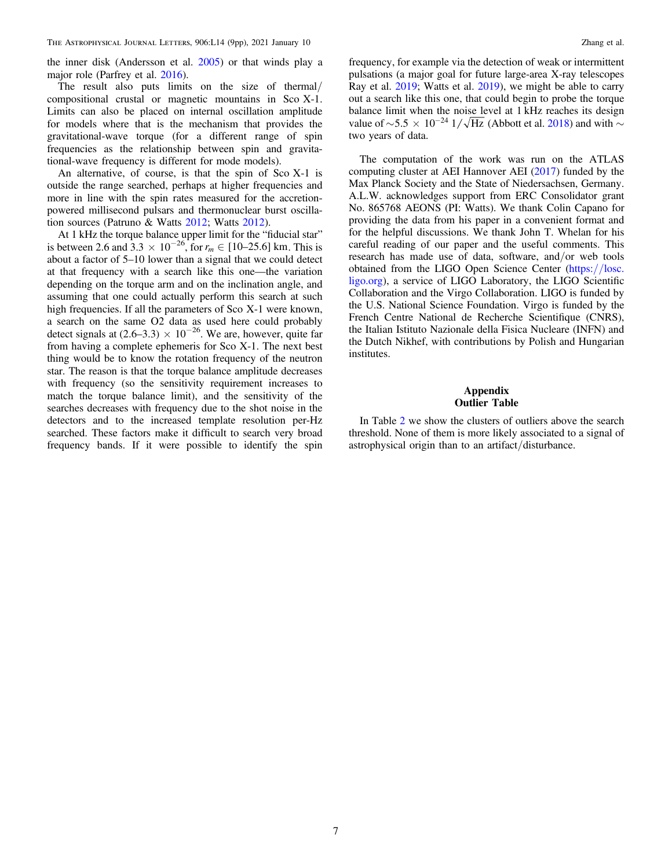<span id="page-7-0"></span>the inner disk (Andersson et al. [2005](#page-8-0)) or that winds play a major role (Parfrey et al. [2016](#page-9-0)).

The result also puts limits on the size of thermal/ compositional crustal or magnetic mountains in Sco X-1. Limits can also be placed on internal oscillation amplitude for models where that is the mechanism that provides the gravitational-wave torque (for a different range of spin frequencies as the relationship between spin and gravitational-wave frequency is different for mode models).

An alternative, of course, is that the spin of Sco X-1 is outside the range searched, perhaps at higher frequencies and more in line with the spin rates measured for the accretionpowered millisecond pulsars and thermonuclear burst oscillation sources (Patruno & Watts [2012;](#page-9-0) Watts [2012](#page-9-0)).

At 1 kHz the torque balance upper limit for the "fiducial star" is between 2.6 and  $3.3 \times 10^{-26}$ , for  $r_m \in [10-25.6]$  km. This is about a factor of 5–10 lower than a signal that we could detect at that frequency with a search like this one—the variation depending on the torque arm and on the inclination angle, and assuming that one could actually perform this search at such high frequencies. If all the parameters of Sco X-1 were known, a search on the same O2 data as used here could probably detect signals at  $(2.6-3.3) \times 10^{-26}$ . We are, however, quite far from having a complete ephemeris for Sco X-1. The next best thing would be to know the rotation frequency of the neutron star. The reason is that the torque balance amplitude decreases with frequency (so the sensitivity requirement increases to match the torque balance limit), and the sensitivity of the searches decreases with frequency due to the shot noise in the detectors and to the increased template resolution per-Hz searched. These factors make it difficult to search very broad frequency bands. If it were possible to identify the spin

frequency, for example via the detection of weak or intermittent pulsations (a major goal for future large-area X-ray telescopes Ray et al. [2019](#page-9-0); Watts et al. [2019](#page-9-0)), we might be able to carry out a search like this one, that could begin to probe the torque balance limit when the noise level at 1 kHz reaches its design value of ~5.5  $\times$  10<sup>-24</sup> 1/ $\sqrt{Hz}$  (Abbott et al. [2018](#page-8-0)) and with ∼ two years of data.

The computation of the work was run on the ATLAS computing cluster at AEI Hannover AEI ([2017](#page-8-0)) funded by the Max Planck Society and the State of Niedersachsen, Germany. A.L.W. acknowledges support from ERC Consolidator grant No. 865768 AEONS (PI: Watts). We thank Colin Capano for providing the data from his paper in a convenient format and for the helpful discussions. We thank John T. Whelan for his careful reading of our paper and the useful comments. This research has made use of data, software, and/or web tools obtained from the LIGO Open Science Center ([https:](https://losc.ligo.org)//losc. [ligo.org](https://losc.ligo.org)), a service of LIGO Laboratory, the LIGO Scientific Collaboration and the Virgo Collaboration. LIGO is funded by the U.S. National Science Foundation. Virgo is funded by the French Centre National de Recherche Scientifique (CNRS), the Italian Istituto Nazionale della Fisica Nucleare (INFN) and the Dutch Nikhef, with contributions by Polish and Hungarian institutes.

#### Appendix Outlier Table

In Table [2](#page-8-0) we show the clusters of outliers above the search threshold. None of them is more likely associated to a signal of astrophysical origin than to an artifact/disturbance.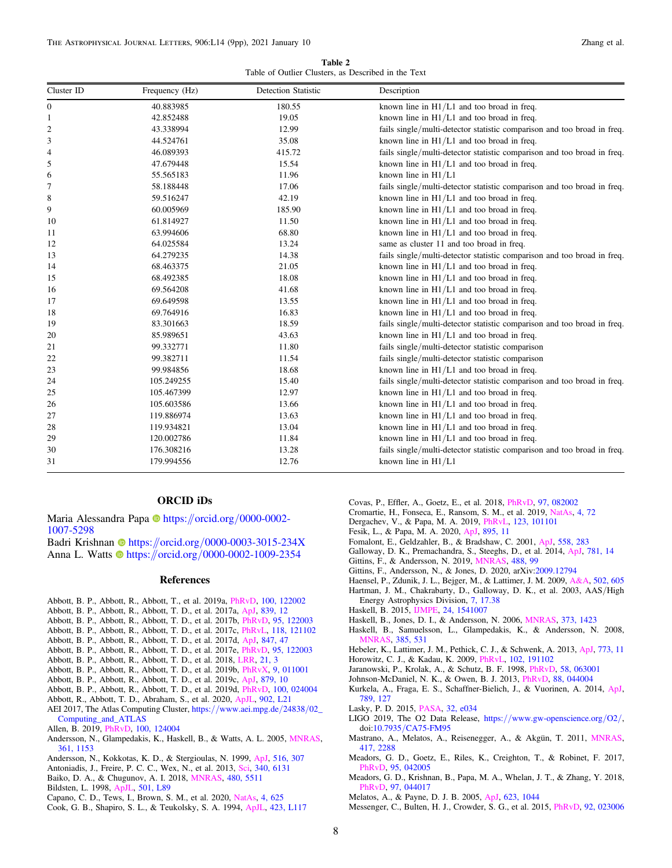Table 2 Table of Outlier Clusters, as Described in the Text

<span id="page-8-0"></span>

| Cluster ID       | Frequency (Hz) | <b>Detection Statistic</b> | Description                                                             |
|------------------|----------------|----------------------------|-------------------------------------------------------------------------|
| $\boldsymbol{0}$ | 40.883985      | 180.55                     | known line in $H1/L1$ and too broad in freq.                            |
| 1                | 42.852488      | 19.05                      | known line in $H1/L1$ and too broad in freq.                            |
| $\overline{c}$   | 43.338994      | 12.99                      | fails single/multi-detector statistic comparison and too broad in freq. |
| 3                | 44.524761      | 35.08                      | known line in $H1/L1$ and too broad in freq.                            |
| 4                | 46.089393      | 415.72                     | fails single/multi-detector statistic comparison and too broad in freq. |
| 5                | 47.679448      | 15.54                      | known line in $H1/L1$ and too broad in freq.                            |
| 6                | 55.565183      | 11.96                      | known line in $H1/L1$                                                   |
| 7                | 58.188448      | 17.06                      | fails single/multi-detector statistic comparison and too broad in freq. |
| 8                | 59.516247      | 42.19                      | known line in $H1/L1$ and too broad in freq.                            |
| 9                | 60.005969      | 185.90                     | known line in $H1/L1$ and too broad in freq.                            |
| 10               | 61.814927      | 11.50                      | known line in $H1/L1$ and too broad in freq.                            |
| 11               | 63.994606      | 68.80                      | known line in $H1/L1$ and too broad in freq.                            |
| 12               | 64.025584      | 13.24                      | same as cluster 11 and too broad in freq.                               |
| 13               | 64.279235      | 14.38                      | fails single/multi-detector statistic comparison and too broad in freq. |
| 14               | 68.463375      | 21.05                      | known line in $H1/L1$ and too broad in freq.                            |
| 15               | 68.492385      | 18.08                      | known line in $H1/L1$ and too broad in freq.                            |
| 16               | 69.564208      | 41.68                      | known line in $H1/L1$ and too broad in freq.                            |
| 17               | 69.649598      | 13.55                      | known line in $H1/L1$ and too broad in freq.                            |
| 18               | 69.764916      | 16.83                      | known line in $H1/L1$ and too broad in freq.                            |
| 19               | 83.301663      | 18.59                      | fails single/multi-detector statistic comparison and too broad in freq. |
| 20               | 85.989651      | 43.63                      | known line in $H1/L1$ and too broad in freq.                            |
| 21               | 99.332771      | 11.80                      | fails single/multi-detector statistic comparison                        |
| 22               | 99.382711      | 11.54                      | fails single/multi-detector statistic comparison                        |
| 23               | 99.984856      | 18.68                      | known line in $H1/L1$ and too broad in freq.                            |
| 24               | 105.249255     | 15.40                      | fails single/multi-detector statistic comparison and too broad in freq. |
| 25               | 105.467399     | 12.97                      | known line in $H1/L1$ and too broad in freq.                            |
| 26               | 105.603586     | 13.66                      | known line in $H1/L1$ and too broad in freq.                            |
| 27               | 119.886974     | 13.63                      | known line in $H1/L1$ and too broad in freq.                            |
| 28               | 119.934821     | 13.04                      | known line in $H1/L1$ and too broad in freq.                            |
| 29               | 120.002786     | 11.84                      | known line in $H1/L1$ and too broad in freq.                            |
| 30               | 176.308216     | 13.28                      | fails single/multi-detector statistic comparison and too broad in freq. |
| 31               | 179.994556     | 12.76                      | known line in $H1/L1$                                                   |

#### ORCID iDs

M[a](https://orcid.org/0000-0002-1007-5298)ria Alessandra Papa i [https:](https://orcid.org/0000-0002-1007-5298)//orcid.org/[0000-0002-](https://orcid.org/0000-0002-1007-5298) [1007-5298](https://orcid.org/0000-0002-1007-5298)

Badri Krish[n](https://orcid.org/0000-0003-3015-234X)an C[https:](https://orcid.org/0000-0003-3015-234X)//orcid.org/[0000-0003-3015-234X](https://orcid.org/0000-0003-3015-234X) Anna L. Watts [https:](https://orcid.org/0000-0002-1009-2354)//orcid.org/[0000-0002-1009-2354](https://orcid.org/0000-0002-1009-2354)

#### References

- Abbott, B. P., Abbott, R., Abbott, T., et al. 2019a, [PhRvD](https://doi.org/10.1103/PhysRevD.100.122002), [100, 122002](https://ui.adsabs.harvard.edu/abs/2019PhRvD.100l2002A/abstract)
- Abbott, B. P., Abbott, R., Abbott, T. D., et al. 2017a, [ApJ](https://doi.org/10.3847/1538-4357/aa677f), [839, 12](https://ui.adsabs.harvard.edu/abs/2017ApJ...839...12A/abstract)
- Abbott, B. P., Abbott, R., Abbott, T. D., et al. 2017b, [PhRvD](https://doi.org/10.1103/PhysRevD.95.122003), [95, 122003](https://ui.adsabs.harvard.edu/abs/2017PhRvD..95l2003A/abstract)
- Abbott, B. P., Abbott, R., Abbott, T. D., et al. 2017c, [PhRvL,](https://doi.org/10.1103/PhysRevLett.118.121102) [118, 121102](https://ui.adsabs.harvard.edu/abs/2017PhRvL.118l1102A/abstract)
- Abbott, B. P., Abbott, R., Abbott, T. D., et al. 2017d, [ApJ,](https://doi.org/10.3847/1538-4357/aa86f0) [847, 47](https://ui.adsabs.harvard.edu/abs/2017ApJ...847...47A/abstract)
- Abbott, B. P., Abbott, R., Abbott, T. D., et al. 2017e, [PhRvD,](https://doi.org/10.1103/PhysRevD.95.122003) [95, 122003](https://ui.adsabs.harvard.edu/abs/2017PhRvD..95l2003A/abstract)
- Abbott, B. P., Abbott, R., Abbott, T. D., et al. 2018, [LRR](https://doi.org/10.1007/s41114-018-0012-9), [21, 3](https://ui.adsabs.harvard.edu/abs/2018LRR....21....3A/abstract)
- Abbott, B. P., Abbott, R., Abbott, T. D., et al. 2019b, [PhRvX](https://doi.org/10.1103/PhysRevX.9.011001), [9, 011001](https://ui.adsabs.harvard.edu/abs/2019PhRvX...9a1001A/abstract)
- Abbott, B. P., Abbott, R., Abbott, T. D., et al. 2019c, [ApJ](https://doi.org/10.3847/1538-4357/ab20cb), [879, 10](https://ui.adsabs.harvard.edu/abs/2019ApJ...879...10A/abstract)
- Abbott, B. P., Abbott, R., Abbott, T. D., et al. 2019d, [PhRvD](https://doi.org/10.1103/PhysRevD.100.024004), [100, 024004](https://ui.adsabs.harvard.edu/abs/2019PhRvD.100b4004A/abstract)
- Abbott, R., Abbott, T. D., Abraham, S., et al. 2020, [ApJL,](https://doi.org/10.3847/2041-8213/abb655) [902, L21](https://ui.adsabs.harvard.edu/abs/2020ApJ...902L..21A/abstract)
- AEI 2017, The Atlas Computing Cluster, https://[www.aei.mpg.de](https://www.aei.mpg.de/24838/02_Computing_and_ATLAS)/24838/02\_ [Computing\\_and\\_ATLAS](https://www.aei.mpg.de/24838/02_Computing_and_ATLAS)
- Allen, B. 2019, [PhRvD](https://doi.org/10.1103/PhysRevD.100.124004), [100, 124004](https://ui.adsabs.harvard.edu/abs/2019PhRvD.100l4004A/abstract)
- Andersson, N., Glampedakis, K., Haskell, B., & Watts, A. L. 2005, [MNRAS](https://doi.org/10.1111/j.1365-2966.2005.09167.x)[,](https://ui.adsabs.harvard.edu/abs/2005MNRAS.361.1153A/abstract) [361, 1153](https://ui.adsabs.harvard.edu/abs/2005MNRAS.361.1153A/abstract)
- Andersson, N., Kokkotas, K. D., & Stergioulas, N. 1999, [ApJ](https://doi.org/10.1086/307082), [516, 307](https://ui.adsabs.harvard.edu/abs/1999ApJ...516..307A/abstract)
- Antoniadis, J., Freire, P. C. C., Wex, N., et al. 2013, [Sci,](https://doi.org/10.1126/science.1233232) [340, 6131](https://ui.adsabs.harvard.edu/abs/2013Sci...340..448A/abstract)
- Baiko, D. A., & Chugunov, A. I. 2018, [MNRAS](https://doi.org/10.1093/mnras/sty2259), [480, 5511](https://ui.adsabs.harvard.edu/abs/2018MNRAS.480.5511B/abstract)
- Bildsten, L. 1998, [ApJL,](https://doi.org/10.1086/311440) [501, L89](https://ui.adsabs.harvard.edu/abs/1998ApJ...501L..89B/abstract)
- Capano, C. D., Tews, I., Brown, S. M., et al. 2020, [NatAs](https://doi.org/10.1038/s41550-020-1014-6), [4, 625](https://ui.adsabs.harvard.edu/abs/2020NatAs...4..625C/abstract)
- Cook, G. B., Shapiro, S. L., & Teukolsky, S. A. 1994, [ApJL](https://doi.org/10.1086/187250), [423, L117](https://ui.adsabs.harvard.edu/abs/1994ApJ...423L.117C/abstract)
- Covas, P., Effler, A., Goetz, E., et al. 2018, [PhRvD,](https://doi.org/10.1103/PhysRevD.97.082002) [97, 082002](https://ui.adsabs.harvard.edu/abs/2018PhRvD..97h2002C/abstract)
- Cromartie, H., Fonseca, E., Ransom, S. M., et al. 2019, [NatAs,](https://doi.org/10.1038/s41550-019-0880-2) [4, 72](https://ui.adsabs.harvard.edu/abs/2020NatAs...4...72C/abstract)
- Dergachev, V., & Papa, M. A. 2019, [PhRvL](https://doi.org/10.1103/PhysRevLett.123.101101), [123, 101101](https://ui.adsabs.harvard.edu/abs/2019PhRvL.123j1101D/abstract) Fesik, L., & Papa, M. A. 2020, [ApJ](https://doi.org/10.3847/1538-4357/ab8193), [895, 11](https://ui.adsabs.harvard.edu/abs/2020ApJ...895...11F/abstract)
- Fomalont, E., Geldzahler, B., & Bradshaw, C. 2001, [ApJ,](https://doi.org/10.1086/322479) [558, 283](https://ui.adsabs.harvard.edu/abs/2001ApJ...558..283F/abstract)
- Galloway, D. K., Premachandra, S., Steeghs, D., et al. 2014, [ApJ](https://doi.org/10.1088/0004-637X/781/1/14), [781, 14](https://ui.adsabs.harvard.edu/abs/2014ApJ...781...14G/abstract)
- Gittins, F., & Andersson, N. 2019, [MNRAS,](https://doi.org/10.1093/mnras/stz1719) [488, 99](https://ui.adsabs.harvard.edu/abs/2019MNRAS.488...99G/abstract)
- Gittins, F., Andersson, N., & Jones, D. 2020, arXiv:[2009.12794](http://arxiv.org/abs/2009.12794)
- Haensel, P., Zdunik, J. L., Bejger, M., & Lattimer, J. M. 2009, [A&A,](https://doi.org/10.1051/0004-6361/200811605) [502, 605](https://ui.adsabs.harvard.edu/abs/2009A&A...502..605H/abstract)
- Hartman, J. M., Chakrabarty, D., Galloway, D. K., et al. 2003, AAS/High Energy Astrophysics Division, [7, 17.38](https://ui.adsabs.harvard.edu/abs/2003HEAD....7.1738H/abstract)
- Haskell, B. 2015, [IJMPE](https://doi.org/10.1142/S0218301315410074), [24, 1541007](https://ui.adsabs.harvard.edu/abs/2015IJMPE..2441007H/abstract)
- Haskell, B., Jones, D. I., & Andersson, N. 2006, [MNRAS,](https://doi.org/10.1111/j.1365-2966.2006.10998.x) [373, 1423](https://ui.adsabs.harvard.edu/abs/2006MNRAS.373.1423H/abstract)
- Haskell, B., Samuelsson, L., Glampedakis, K., & Andersson, N. 2008, [MNRAS](https://doi.org/10.1111/j.1365-2966.2008.12861.x), [385, 531](https://ui.adsabs.harvard.edu/abs/2008MNRAS.385..531H/abstract)
- Hebeler, K., Lattimer, J. M., Pethick, C. J., & Schwenk, A. 2013, [ApJ,](https://doi.org/10.1088/0004-637X/773/1/11) [773, 11](https://ui.adsabs.harvard.edu/abs/2013ApJ...773...11H/abstract)
- Horowitz, C. J., & Kadau, K. 2009, [PhRvL,](https://doi.org/10.1103/PhysRevLett.102.191102) [102, 191102](https://ui.adsabs.harvard.edu/abs/2009PhRvL.102s1102H/abstract)
- Jaranowski, P., Krolak, A., & Schutz, B. F. 1998, [PhRvD](https://doi.org/10.1103/PhysRevD.58.063001), [58, 063001](https://ui.adsabs.harvard.edu/abs/1998PhRvD..58f3001J/abstract)
- Johnson-McDaniel, N. K., & Owen, B. J. 2013, [PhRvD,](https://doi.org/10.1103/PhysRevD.88.044004) [88, 044004](https://ui.adsabs.harvard.edu/abs/2013PhRvD..88d4004J/abstract)
- Kurkela, A., Fraga, E. S., Schaffner-Bielich, J., & Vuorinen, A. 2014, [ApJ](https://doi.org/10.1088/0004-637X/789/2/127)[,](https://ui.adsabs.harvard.edu/abs/2014ApJ...789..127K/abstract) [789, 127](https://ui.adsabs.harvard.edu/abs/2014ApJ...789..127K/abstract)
- Lasky, P. D. 2015, [PASA](https://doi.org/10.1017/pasa.2015.35), [32, e034](https://ui.adsabs.harvard.edu/abs/2015PASA...32...34L/abstract)
- LIGO 2019, The O2 Data Release, https://[www.gw-openscience.org](https://www.gw-openscience.org/O2/)/O2/, doi:10.7935/[CA75-FM95](https://doi.org/10.7935/CA75-FM95)
- Mastrano, A., Melatos, A., Reisenegger, A., & Akgün, T. 2011, [MNRAS](https://doi.org/10.1111/j.1365-2966.2011.19410.x)[,](https://ui.adsabs.harvard.edu/abs/2011MNRAS.417.2288M/abstract) [417, 2288](https://ui.adsabs.harvard.edu/abs/2011MNRAS.417.2288M/abstract)
- Meadors, G. D., Goetz, E., Riles, K., Creighton, T., & Robinet, F. 2017, [PhRvD](https://doi.org/10.1103/PhysRevD.95.042005), [95, 042005](https://ui.adsabs.harvard.edu/abs/2017PhRvD..95d2005M/abstract)
- Meadors, G. D., Krishnan, B., Papa, M. A., Whelan, J. T., & Zhang, Y. 2018, [PhRvD](https://doi.org/10.1103/PhysRevD.97.044017), [97, 044017](https://ui.adsabs.harvard.edu/abs/2018PhRvD..97d4017M/abstract)
- Melatos, A., & Payne, D. J. B. 2005, [ApJ,](https://doi.org/10.1086/428600) [623, 1044](https://ui.adsabs.harvard.edu/abs/2005ApJ...623.1044M/abstract)
- Messenger, C., Bulten, H. J., Crowder, S. G., et al. 2015, [PhRvD](https://doi.org/10.1103/PhysRevD.92.023006), [92, 023006](https://ui.adsabs.harvard.edu/abs/2015PhRvD..92b3006M/abstract)